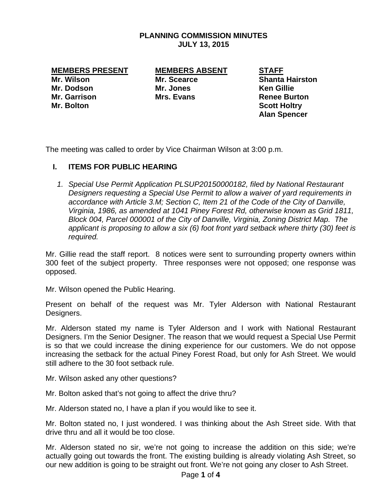#### **PLANNING COMMISSION MINUTES JULY 13, 2015**

**Mr. Bolton Scott Holtry Area Scott Holtry** 

# **MEMBERS PRESENT MEMBERS ABSENT STAFF**

**Mr. Dodson Mr. Jones Ken Gillie Mr. Garrison Communist Communist Mrs. Evans Communist Communist Renee Burton** 

**Mr. Wilson Mr. Scearce Shanta Hairston Alan Spencer** 

The meeting was called to order by Vice Chairman Wilson at 3:00 p.m.

## **I. ITEMS FOR PUBLIC HEARING**

*1. Special Use Permit Application PLSUP20150000182, filed by National Restaurant Designers requesting a Special Use Permit to allow a waiver of yard requirements in accordance with Article 3.M; Section C, Item 21 of the Code of the City of Danville, Virginia, 1986, as amended at 1041 Piney Forest Rd, otherwise known as Grid 1811, Block 004, Parcel 000001 of the City of Danville, Virginia, Zoning District Map. The applicant is proposing to allow a six (6) foot front yard setback where thirty (30) feet is required.* 

Mr. Gillie read the staff report. 8 notices were sent to surrounding property owners within 300 feet of the subject property. Three responses were not opposed; one response was opposed.

Mr. Wilson opened the Public Hearing.

Present on behalf of the request was Mr. Tyler Alderson with National Restaurant Designers.

Mr. Alderson stated my name is Tyler Alderson and I work with National Restaurant Designers. I'm the Senior Designer. The reason that we would request a Special Use Permit is so that we could increase the dining experience for our customers. We do not oppose increasing the setback for the actual Piney Forest Road, but only for Ash Street. We would still adhere to the 30 foot setback rule.

Mr. Wilson asked any other questions?

Mr. Bolton asked that's not going to affect the drive thru?

Mr. Alderson stated no, I have a plan if you would like to see it.

Mr. Bolton stated no, I just wondered. I was thinking about the Ash Street side. With that drive thru and all it would be too close.

Mr. Alderson stated no sir, we're not going to increase the addition on this side; we're actually going out towards the front. The existing building is already violating Ash Street, so our new addition is going to be straight out front. We're not going any closer to Ash Street.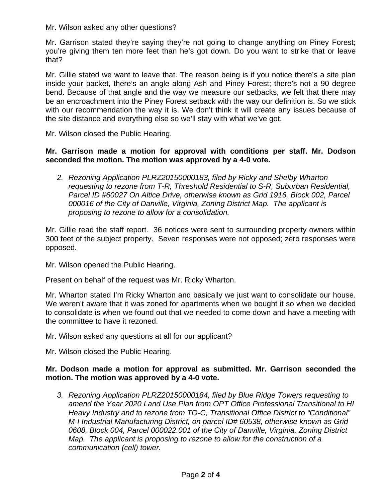Mr. Wilson asked any other questions?

Mr. Garrison stated they're saying they're not going to change anything on Piney Forest; you're giving them ten more feet than he's got down. Do you want to strike that or leave that?

Mr. Gillie stated we want to leave that. The reason being is if you notice there's a site plan inside your packet, there's an angle along Ash and Piney Forest; there's not a 90 degree bend. Because of that angle and the way we measure our setbacks, we felt that there may be an encroachment into the Piney Forest setback with the way our definition is. So we stick with our recommendation the way it is. We don't think it will create any issues because of the site distance and everything else so we'll stay with what we've got.

Mr. Wilson closed the Public Hearing.

#### **Mr. Garrison made a motion for approval with conditions per staff. Mr. Dodson seconded the motion. The motion was approved by a 4-0 vote.**

*2. Rezoning Application PLRZ20150000183, filed by Ricky and Shelby Wharton requesting to rezone from T-R, Threshold Residential to S-R, Suburban Residential, Parcel ID #60027 On Altice Drive, otherwise known as Grid 1916, Block 002, Parcel 000016 of the City of Danville, Virginia, Zoning District Map. The applicant is proposing to rezone to allow for a consolidation.* 

Mr. Gillie read the staff report. 36 notices were sent to surrounding property owners within 300 feet of the subject property. Seven responses were not opposed; zero responses were opposed.

Mr. Wilson opened the Public Hearing.

Present on behalf of the request was Mr. Ricky Wharton.

Mr. Wharton stated I'm Ricky Wharton and basically we just want to consolidate our house. We weren't aware that it was zoned for apartments when we bought it so when we decided to consolidate is when we found out that we needed to come down and have a meeting with the committee to have it rezoned.

Mr. Wilson asked any questions at all for our applicant?

Mr. Wilson closed the Public Hearing.

#### **Mr. Dodson made a motion for approval as submitted. Mr. Garrison seconded the motion. The motion was approved by a 4-0 vote.**

*3. Rezoning Application PLRZ20150000184, filed by Blue Ridge Towers requesting to amend the Year 2020 Land Use Plan from OPT Office Professional Transitional to HI Heavy Industry and to rezone from TO-C, Transitional Office District to "Conditional" M-I Industrial Manufacturing District, on parcel ID# 60538, otherwise known as Grid 0608, Block 004, Parcel 000022.001 of the City of Danville, Virginia, Zoning District Map. The applicant is proposing to rezone to allow for the construction of a communication (cell) tower.*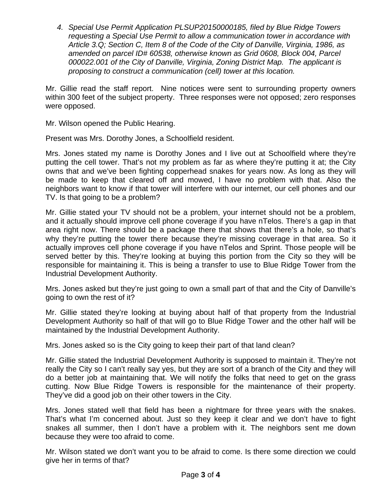*4. Special Use Permit Application PLSUP20150000185, filed by Blue Ridge Towers requesting a Special Use Permit to allow a communication tower in accordance with Article 3.Q; Section C, Item 8 of the Code of the City of Danville, Virginia, 1986, as amended on parcel ID# 60538, otherwise known as Grid 0608, Block 004, Parcel 000022.001 of the City of Danville, Virginia, Zoning District Map. The applicant is proposing to construct a communication (cell) tower at this location.* 

Mr. Gillie read the staff report. Nine notices were sent to surrounding property owners within 300 feet of the subject property. Three responses were not opposed; zero responses were opposed.

Mr. Wilson opened the Public Hearing.

Present was Mrs. Dorothy Jones, a Schoolfield resident.

Mrs. Jones stated my name is Dorothy Jones and I live out at Schoolfield where they're putting the cell tower. That's not my problem as far as where they're putting it at; the City owns that and we've been fighting copperhead snakes for years now. As long as they will be made to keep that cleared off and mowed, I have no problem with that. Also the neighbors want to know if that tower will interfere with our internet, our cell phones and our TV. Is that going to be a problem?

Mr. Gillie stated your TV should not be a problem, your internet should not be a problem, and it actually should improve cell phone coverage if you have nTelos. There's a gap in that area right now. There should be a package there that shows that there's a hole, so that's why they're putting the tower there because they're missing coverage in that area. So it actually improves cell phone coverage if you have nTelos and Sprint. Those people will be served better by this. They're looking at buying this portion from the City so they will be responsible for maintaining it. This is being a transfer to use to Blue Ridge Tower from the Industrial Development Authority.

Mrs. Jones asked but they're just going to own a small part of that and the City of Danville's going to own the rest of it?

Mr. Gillie stated they're looking at buying about half of that property from the Industrial Development Authority so half of that will go to Blue Ridge Tower and the other half will be maintained by the Industrial Development Authority.

Mrs. Jones asked so is the City going to keep their part of that land clean?

Mr. Gillie stated the Industrial Development Authority is supposed to maintain it. They're not really the City so I can't really say yes, but they are sort of a branch of the City and they will do a better job at maintaining that. We will notify the folks that need to get on the grass cutting. Now Blue Ridge Towers is responsible for the maintenance of their property. They've did a good job on their other towers in the City.

Mrs. Jones stated well that field has been a nightmare for three years with the snakes. That's what I'm concerned about. Just so they keep it clear and we don't have to fight snakes all summer, then I don't have a problem with it. The neighbors sent me down because they were too afraid to come.

Mr. Wilson stated we don't want you to be afraid to come. Is there some direction we could give her in terms of that?